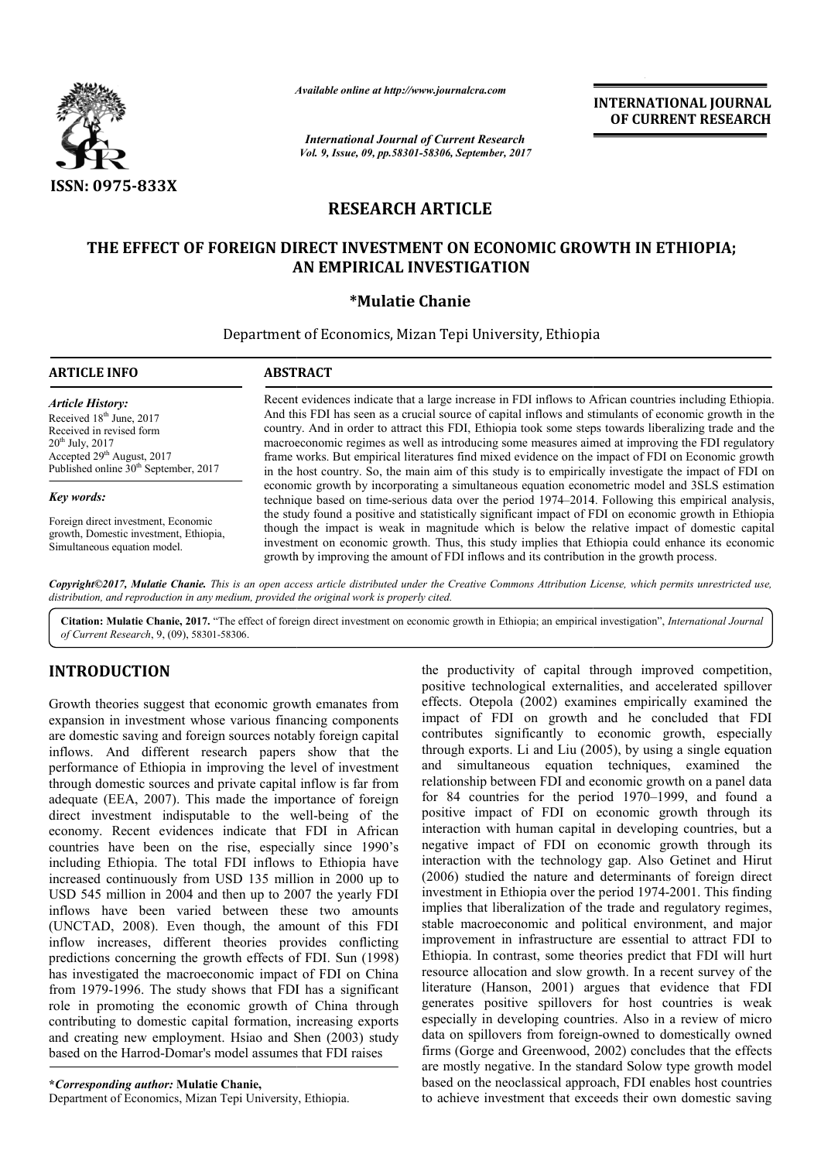

*Available online at http://www.journalcra.com*

*International Journal of Current Research Vol. 9, Issue, 09, pp.58301-58306, September, 2017* **INTERNATIONAL JOURNAL OF CURRENT RESEARCH**

# **RESEARCH ARTICLE**

## **THE EFFECT OF FOREIGN DIRECT INVESTMENT ON ECONOMIC GROWTH IN ETHIOPIA; ON ECONOMIC GROWTH IN ETHIOPIA; AN EMPIRICAL INVESTIGATION**

## **\*Mulatie Chanie**

Department of Economics, Mizan Tepi University, Ethiopia

| <b>ARTICLE INFO</b>                                                                                                                                                                                                  | <b>ABSTRACT</b>                                                                                                                                                                                                                                                                                                                                                                                                                                                                                                                                                                                                                                |  |  |  |
|----------------------------------------------------------------------------------------------------------------------------------------------------------------------------------------------------------------------|------------------------------------------------------------------------------------------------------------------------------------------------------------------------------------------------------------------------------------------------------------------------------------------------------------------------------------------------------------------------------------------------------------------------------------------------------------------------------------------------------------------------------------------------------------------------------------------------------------------------------------------------|--|--|--|
| <b>Article History:</b><br>Received 18 <sup>th</sup> June, 2017<br>Received in revised form<br>$20^{th}$ July, $2017$<br>Accepted 29 <sup>th</sup> August, 2017<br>Published online 30 <sup>th</sup> September, 2017 | Recent evidences indicate that a large increase in FDI inflows to African countries including Ethiopia.<br>And this FDI has seen as a crucial source of capital inflows and stimulants of economic growth in the<br>country. And in order to attract this FDI, Ethiopia took some steps towards liberalizing trade and the<br>macroeconomic regimes as well as introducing some measures aimed at improving the FDI regulatory<br>frame works. But empirical literatures find mixed evidence on the impact of FDI on Economic growth<br>in the host country. So, the main aim of this study is to empirically investigate the impact of FDI on |  |  |  |
| Key words:                                                                                                                                                                                                           | economic growth by incorporating a simultaneous equation econometric model and 3SLS estimation<br>technique based on time-serious data over the period 1974–2014. Following this empirical analysis,                                                                                                                                                                                                                                                                                                                                                                                                                                           |  |  |  |
| Foreign direct investment, Economic<br>growth, Domestic investment, Ethiopia,<br>Simultaneous equation model.                                                                                                        | the study found a positive and statistically significant impact of FDI on economic growth in Ethiopia<br>though the impact is weak in magnitude which is below the relative impact of domestic capital<br>investment on economic growth. Thus, this study implies that Ethiopia could enhance its economic<br>growth by improving the amount of FDI inflows and its contribution in the growth process.                                                                                                                                                                                                                                        |  |  |  |

Copyright©2017, Mulatie Chanie. This is an open access article distributed under the Creative Commons Attribution License, which permits unrestricted use, *distribution, and reproduction in any medium, provided the original work is properly cited.*

Citation: Mulatie Chanie, 2017. "The effect of foreign direct investment on economic growth in Ethiopia; an empirical investigation", *International Journal of Current Research*, 9, (09), 58301-58306.

# **INTRODUCTION**

Growth theories suggest that economic growth emanates from expansion in investment whose various financing components are domestic saving and foreign sources notably foreign capital inflows. And different research papers show that the performance of Ethiopia in improving the level of investment through domestic sources and private capital inflow is far from adequate (EEA, 2007). This made the importance of foreign direct investment indisputable to the well-being of the economy. Recent evidences indicate that FDI in African countries have been on the rise, especially since 1990's including Ethiopia. The total FDI inflows to Ethiopia have increased continuously from USD 135 million in 2000 up to USD 545 million in 2004 and then up to 2007 the yearly FDI inflows have been varied between these two amounts (UNCTAD, 2008). Even though, the amount of this FDI inflow increases, different theories provides conflicting predictions concerning the growth effects of FDI. Sun (1998) has investigated the macroeconomic impact of FDI on China from 1979-1996. The study shows that FDI has a significant role in promoting the economic growth of China through contributing to domestic capital formation, increasing exports and creating new employment. Hsiao and Shen (2003) study based on the Harrod-Domar's model assumes that FDI raises ve been on the rise, especially since 1990's<br>hiopia. The total FDI inflows to Ethiopia have<br>ntinuously from USD 135 million in 2000 up to<br>llion in 2004 and then up to 2007 the yearly FDI<br>e been varied between these two amo 996. The study shows that FDI has a si<br>moting the economic growth of China<br>to domestic capital formation, increasing<br>new employment. Hsiao and Shen (200<br>Harrod-Domar's model assumes that FDI<br>ng *author*: **Mulatie Chanie**,<br>

**\****Corresponding author:* **Mulatie Chanie,**

Department of Economics, Mizan Tepi University, Ethiopia

the productivity of capital through improved competition, positive technological externalities, and accelerated spillover effects. Otepola (2002) examines empirically examined the impact of FDI on growth and he concluded that FDI contributes significantly to economic growth, especially through exports. Li and Liu (2005), by using a single equation and simultaneous equation techniques, examined the relationship between FDI and economic growth on a panel data relationship between FDI and economic growth on a panel data<br>for 84 countries for the period 1970–1999, and found a positive impact of FDI on economic growth through its interaction with human capital in developing countries, but a negative impact of FDI on economic growth through its interaction with the technology gap. Also Getinet and Hirut (2006) studied the nature and determinants of foreign direct investment in Ethiopia over the period 1974-2001. This finding implies that liberalization of the trade and regulatory regimes, stable macroeconomic and political environment, and major improvement in infrastructure are essential to attract FDI to Ethiopia. In contrast, some theories predict that FDI will hurt resource allocation and slow growth. In a recent survey of the literature (Hanson, 2001) argues that evidence that FDI generates positive spillovers for host countries is weak especially in developing countries. Also in a review of micro data on spillovers from foreign foreign-owned to domestically owned firms (Gorge and Greenwood, 2002) concludes that the effects firms (Gorge and Greenwood, 2002) concludes that the effects<br>are mostly negative. In the standard Solow type growth model based on the neoclassical approach, FDI enables host countries to achieve investment that exceeds their own domestic saving productivity of capital through improved competition, tive technological externalities, and accelerated spillover test. Otepola (2002) examines empirically examined the coroluded that FDI ributes significantly to economic ositive impact of FDI on economic growth through its interaction with human capital in developing countries, but a egative impact of FDI on economic growth through its interaction with the technology gap. Also Getinet and lization of the trade and regulatory regimes,<br>omic and political environment, and major<br>of infrastructure are essential to attract FDI to<br>ast, some theories predict that FDI will hurt<br>in and slow growth. In a recent survey literature (Hanson, 2001) argues that evidence that FDI generates positive spillovers for host countries is weak especially in developing countries. Also in a review of micro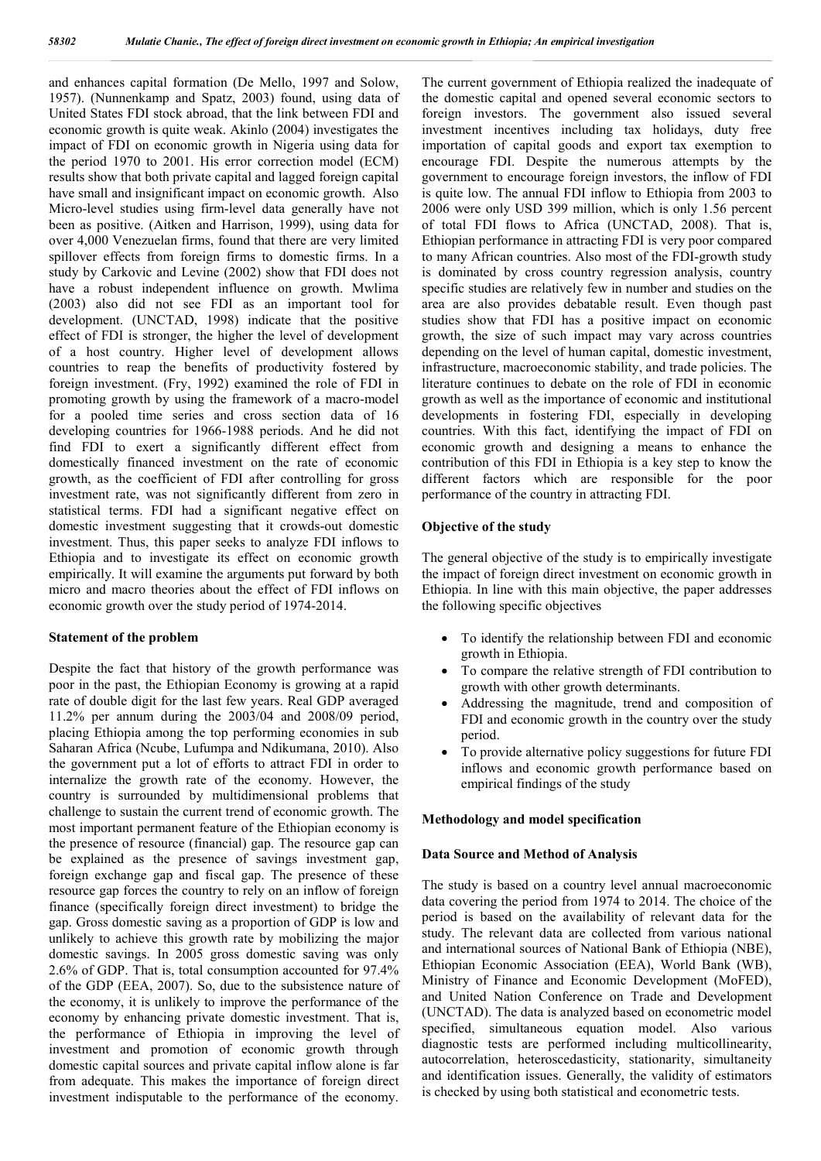and enhances capital formation (De Mello, 1997 and Solow, 1957). (Nunnenkamp and Spatz, 2003) found, using data of United States FDI stock abroad, that the link between FDI and economic growth is quite weak. Akinlo (2004) investigates the impact of FDI on economic growth in Nigeria using data for the period 1970 to 2001. His error correction model (ECM) results show that both private capital and lagged foreign capital have small and insignificant impact on economic growth. Also Micro-level studies using firm-level data generally have not been as positive. (Aitken and Harrison, 1999), using data for over 4,000 Venezuelan firms, found that there are very limited spillover effects from foreign firms to domestic firms. In a study by Carkovic and Levine (2002) show that FDI does not have a robust independent influence on growth. Mwlima (2003) also did not see FDI as an important tool for development. (UNCTAD, 1998) indicate that the positive effect of FDI is stronger, the higher the level of development of a host country. Higher level of development allows countries to reap the benefits of productivity fostered by foreign investment. (Fry, 1992) examined the role of FDI in promoting growth by using the framework of a macro-model for a pooled time series and cross section data of 16 developing countries for 1966-1988 periods. And he did not find FDI to exert a significantly different effect from domestically financed investment on the rate of economic growth, as the coefficient of FDI after controlling for gross investment rate, was not significantly different from zero in statistical terms. FDI had a significant negative effect on domestic investment suggesting that it crowds-out domestic investment. Thus, this paper seeks to analyze FDI inflows to Ethiopia and to investigate its effect on economic growth empirically. It will examine the arguments put forward by both micro and macro theories about the effect of FDI inflows on economic growth over the study period of 1974-2014.

### **Statement of the problem**

Despite the fact that history of the growth performance was poor in the past, the Ethiopian Economy is growing at a rapid rate of double digit for the last few years. Real GDP averaged 11.2% per annum during the 2003/04 and 2008/09 period, placing Ethiopia among the top performing economies in sub Saharan Africa (Ncube, Lufumpa and Ndikumana, 2010). Also the government put a lot of efforts to attract FDI in order to internalize the growth rate of the economy. However, the country is surrounded by multidimensional problems that challenge to sustain the current trend of economic growth. The most important permanent feature of the Ethiopian economy is the presence of resource (financial) gap. The resource gap can be explained as the presence of savings investment gap, foreign exchange gap and fiscal gap. The presence of these resource gap forces the country to rely on an inflow of foreign finance (specifically foreign direct investment) to bridge the gap. Gross domestic saving as a proportion of GDP is low and unlikely to achieve this growth rate by mobilizing the major domestic savings. In 2005 gross domestic saving was only 2.6% of GDP. That is, total consumption accounted for 97.4% of the GDP (EEA, 2007). So, due to the subsistence nature of the economy, it is unlikely to improve the performance of the economy by enhancing private domestic investment. That is, the performance of Ethiopia in improving the level of investment and promotion of economic growth through domestic capital sources and private capital inflow alone is far from adequate. This makes the importance of foreign direct investment indisputable to the performance of the economy.

The current government of Ethiopia realized the inadequate of the domestic capital and opened several economic sectors to foreign investors. The government also issued several investment incentives including tax holidays, duty free importation of capital goods and export tax exemption to encourage FDI. Despite the numerous attempts by the government to encourage foreign investors, the inflow of FDI is quite low. The annual FDI inflow to Ethiopia from 2003 to 2006 were only USD 399 million, which is only 1.56 percent of total FDI flows to Africa (UNCTAD, 2008). That is, Ethiopian performance in attracting FDI is very poor compared to many African countries. Also most of the FDI-growth study is dominated by cross country regression analysis, country specific studies are relatively few in number and studies on the area are also provides debatable result. Even though past studies show that FDI has a positive impact on economic growth, the size of such impact may vary across countries depending on the level of human capital, domestic investment, infrastructure, macroeconomic stability, and trade policies. The literature continues to debate on the role of FDI in economic growth as well as the importance of economic and institutional developments in fostering FDI, especially in developing countries. With this fact, identifying the impact of FDI on economic growth and designing a means to enhance the contribution of this FDI in Ethiopia is a key step to know the different factors which are responsible for the poor performance of the country in attracting FDI.

#### **Objective of the study**

The general objective of the study is to empirically investigate the impact of foreign direct investment on economic growth in Ethiopia. In line with this main objective, the paper addresses the following specific objectives

- To identify the relationship between FDI and economic growth in Ethiopia.
- To compare the relative strength of FDI contribution to growth with other growth determinants.
- Addressing the magnitude, trend and composition of FDI and economic growth in the country over the study period.
- To provide alternative policy suggestions for future FDI inflows and economic growth performance based on empirical findings of the study

#### **Methodology and model specification**

#### **Data Source and Method of Analysis**

The study is based on a country level annual macroeconomic data covering the period from 1974 to 2014. The choice of the period is based on the availability of relevant data for the study. The relevant data are collected from various national and international sources of National Bank of Ethiopia (NBE), Ethiopian Economic Association (EEA), World Bank (WB), Ministry of Finance and Economic Development (MoFED), and United Nation Conference on Trade and Development (UNCTAD). The data is analyzed based on econometric model specified, simultaneous equation model. Also various diagnostic tests are performed including multicollinearity, autocorrelation, heteroscedasticity, stationarity, simultaneity and identification issues. Generally, the validity of estimators is checked by using both statistical and econometric tests.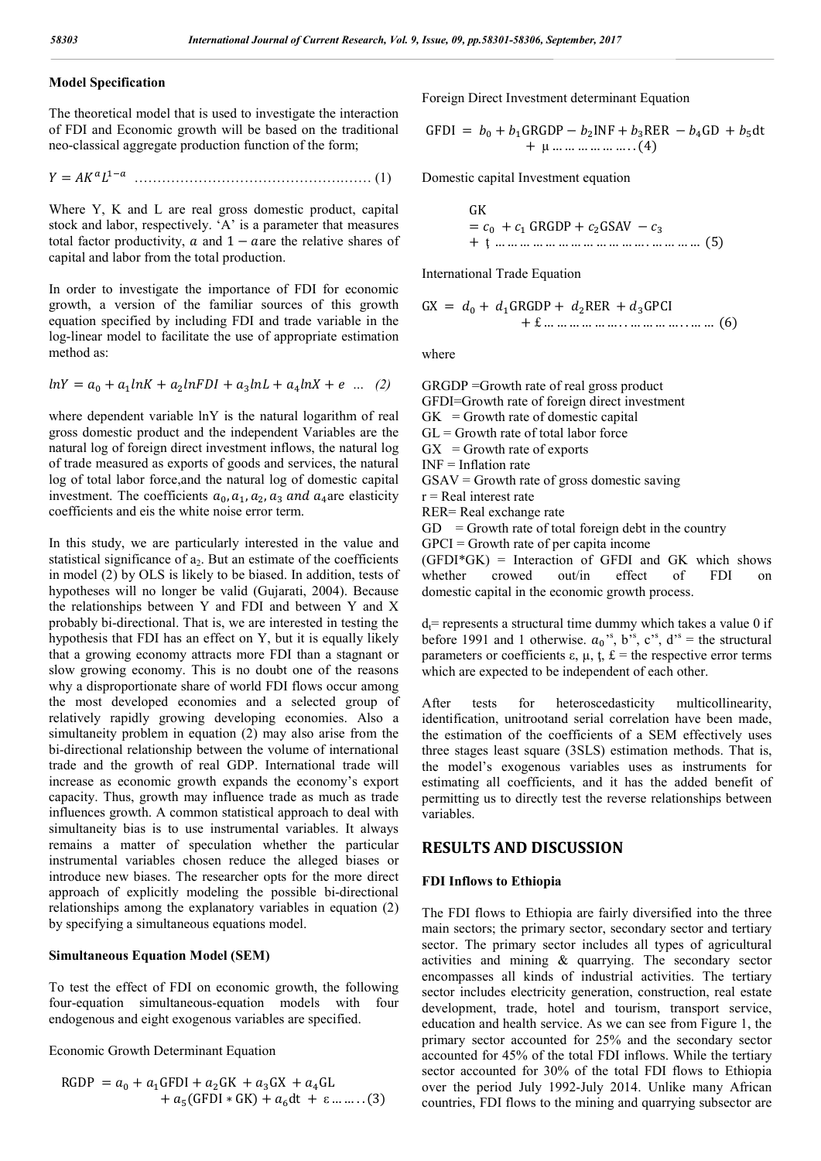## **Model Specification**

The theoretical model that is used to investigate the interaction of FDI and Economic growth will be based on the traditional neo-classical aggregate production function of the form;

$$
Y = AK^aL^{1-a} \quad \dots \quad \dots \quad \dots \quad \dots \quad \dots \quad (1)
$$

Where Y, K and L are real gross domestic product, capital stock and labor, respectively. 'A' is a parameter that measures total factor productivity,  $\alpha$  and  $1 - \alpha$  are the relative shares of capital and labor from the total production.

In order to investigate the importance of FDI for economic growth, a version of the familiar sources of this growth equation specified by including FDI and trade variable in the log-linear model to facilitate the use of appropriate estimation method as:

$$
lnY = a_0 + a_1 lnK + a_2 lnFDI + a_3 lnL + a_4 lnX + e \dots (2)
$$

where dependent variable lnY is the natural logarithm of real gross domestic product and the independent Variables are the natural log of foreign direct investment inflows, the natural log of trade measured as exports of goods and services, the natural log of total labor force,and the natural log of domestic capital investment. The coefficients  $a_0$ ,  $a_1$ ,  $a_2$ ,  $a_3$  and  $a_4$  are elasticity coefficients and eis the white noise error term.

In this study, we are particularly interested in the value and statistical significance of  $a_2$ . But an estimate of the coefficients in model (2) by OLS is likely to be biased. In addition, tests of hypotheses will no longer be valid (Gujarati, 2004). Because the relationships between Y and FDI and between Y and X probably bi-directional. That is, we are interested in testing the hypothesis that FDI has an effect on Y, but it is equally likely that a growing economy attracts more FDI than a stagnant or slow growing economy. This is no doubt one of the reasons why a disproportionate share of world FDI flows occur among the most developed economies and a selected group of relatively rapidly growing developing economies. Also a simultaneity problem in equation (2) may also arise from the bi-directional relationship between the volume of international trade and the growth of real GDP. International trade will increase as economic growth expands the economy's export capacity. Thus, growth may influence trade as much as trade influences growth. A common statistical approach to deal with simultaneity bias is to use instrumental variables. It always remains a matter of speculation whether the particular instrumental variables chosen reduce the alleged biases or introduce new biases. The researcher opts for the more direct approach of explicitly modeling the possible bi-directional relationships among the explanatory variables in equation (2) by specifying a simultaneous equations model.

## **Simultaneous Equation Model (SEM)**

To test the effect of FDI on economic growth, the following four-equation simultaneous-equation models with four endogenous and eight exogenous variables are specified.

Economic Growth Determinant Equation

$$
RGDP = a_0 + a_1GFDI + a_2GK + a_3GX + a_4GL
$$
  
+ a\_5(GFDI \* GK) + a\_6dt + \varepsilon ........(3)

Foreign Direct Investment determinant Equation

$$
GFDI = b0 + b1GRGDP - b2INF + b3REF - b4GD + b5dt
$$
  
+  $\mu$  .... ... ... (4)

Domestic capital Investment equation

GK  
= 
$$
c_0 + c_1
$$
 GRGDP +  $c_2$ GSAV –  $c_3$   
+  $\downarrow$  .... ... .... ... .... ... .... ... .... ... .... ... (5)

International Trade Equation

$$
GX = d_0 + d_1GRGDP + d_2RER + d_3GPCI
$$
  
+ f ... ... ... ... ... ... ... ... ... (6)

where

GRGDP =Growth rate of real gross product GFDI=Growth rate of foreign direct investment  $GK = Growth$  rate of domestic capital  $GL =$  Growth rate of total labor force  $GX = Growth rate of exports$ INF = Inflation rate  $GSAV = Growth$  rate of gross domestic saving  $r =$ Real interest rate RER= Real exchange rate  $GD = Growth$  rate of total foreign debt in the country  $GPCI = Growth$  rate of per capita income  $(GFDI*GK)$  = Interaction of GFDI and GK which shows whether crowed out/in effect of FDI on

 $d_f$ = represents a structural time dummy which takes a value 0 if before 1991 and 1 otherwise.  $a_0^{\prime s}$ ,  $b^{\prime s}$ ,  $c^{\prime s}$ ,  $d^{\prime s}$  = the structural parameters or coefficients  $\varepsilon$ ,  $\mu$ ,  $\dot{\mathbf{t}}$ ,  $\dot{\mathbf{t}}$  = the respective error terms which are expected to be independent of each other.

domestic capital in the economic growth process.

After tests for heteroscedasticity multicollinearity, identification, unitrootand serial correlation have been made, the estimation of the coefficients of a SEM effectively uses three stages least square (3SLS) estimation methods. That is, the model's exogenous variables uses as instruments for estimating all coefficients, and it has the added benefit of permitting us to directly test the reverse relationships between variables.

### **RESULTS AND DISCUSSION**

#### **FDI Inflows to Ethiopia**

The FDI flows to Ethiopia are fairly diversified into the three main sectors; the primary sector, secondary sector and tertiary sector. The primary sector includes all types of agricultural activities and mining & quarrying. The secondary sector encompasses all kinds of industrial activities. The tertiary sector includes electricity generation, construction, real estate development, trade, hotel and tourism, transport service, education and health service. As we can see from Figure 1, the primary sector accounted for 25% and the secondary sector accounted for 45% of the total FDI inflows. While the tertiary sector accounted for 30% of the total FDI flows to Ethiopia over the period July 1992-July 2014. Unlike many African countries, FDI flows to the mining and quarrying subsector are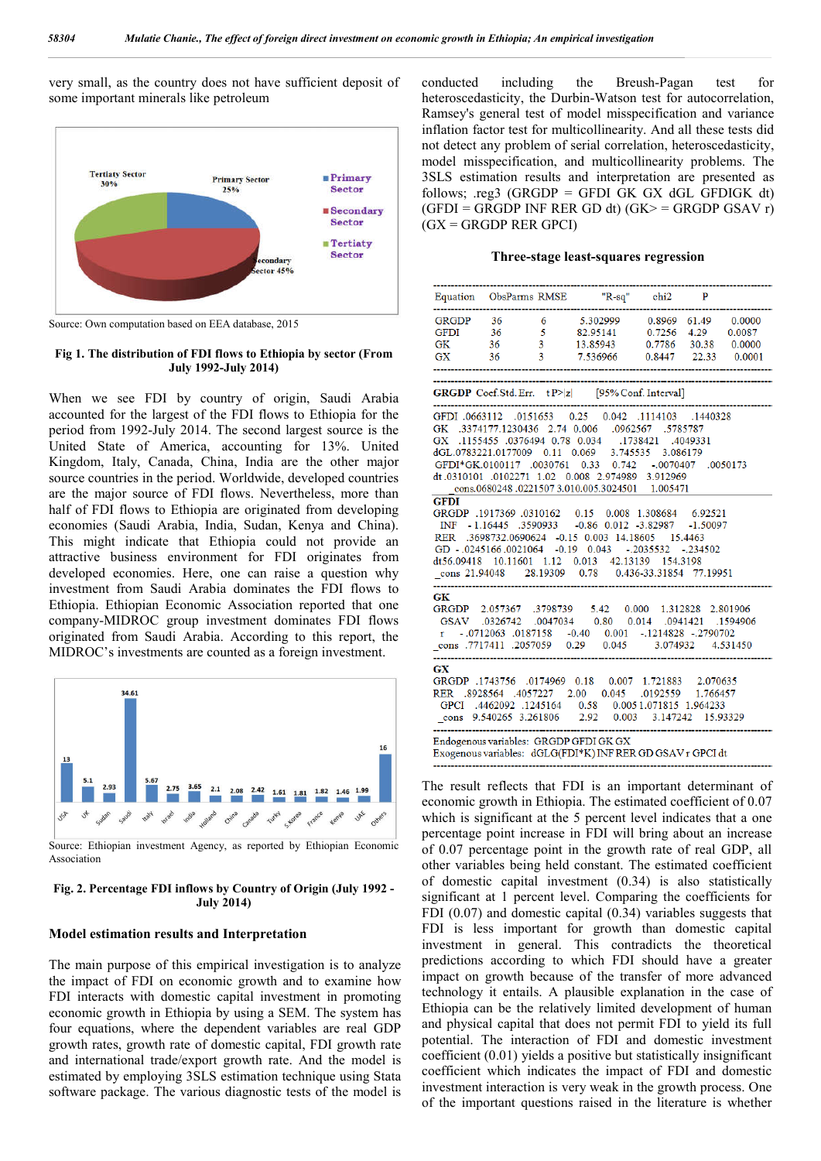very small, as the country does not have sufficient deposit of some important minerals like petroleum



Source: Own computation based on EEA database, 2015

#### **Fig 1. The distribution of FDI flows to Ethiopia by sector (From July 1992-July 2014)**

When we see FDI by country of origin, Saudi Arabia accounted for the largest of the FDI flows to Ethiopia for the period from 1992-July 2014. The second largest source is the United State of America, accounting for 13%. United Kingdom, Italy, Canada, China, India are the other major source countries in the period. Worldwide, developed countries are the major source of FDI flows. Nevertheless, more than half of FDI flows to Ethiopia are originated from developing economies (Saudi Arabia, India, Sudan, Kenya and China). This might indicate that Ethiopia could not provide an attractive business environment for FDI originates from developed economies. Here, one can raise a question why investment from Saudi Arabia dominates the FDI flows to Ethiopia. Ethiopian Economic Association reported that one company-MIDROC group investment dominates FDI flows originated from Saudi Arabia. According to this report, the MIDROC's investments are counted as a foreign investment.



Source: Ethiopian investment Agency, as reported by Ethiopian Economic Association

#### **Fig. 2. Percentage FDI inflows by Country of Origin (July 1992 - July 2014)**

#### **Model estimation results and Interpretation**

The main purpose of this empirical investigation is to analyze the impact of FDI on economic growth and to examine how FDI interacts with domestic capital investment in promoting economic growth in Ethiopia by using a SEM. The system has four equations, where the dependent variables are real GDP growth rates, growth rate of domestic capital, FDI growth rate and international trade/export growth rate. And the model is estimated by employing 3SLS estimation technique using Stata software package. The various diagnostic tests of the model is conducted including the Breush-Pagan test for heteroscedasticity, the Durbin-Watson test for autocorrelation, Ramsey's general test of model misspecification and variance inflation factor test for multicollinearity. And all these tests did not detect any problem of serial correlation, heteroscedasticity, model misspecification, and multicollinearity problems. The 3SLS estimation results and interpretation are presented as follows:  $\text{res3}$  (GRGDP = GFDI GK GX dGL GFDIGK dt)  $(GFDI = GRGDP INF RER GD dt) (GK > 0) = GRGDP GSAV r)$  $(GX = GRGDP RER GPCI)$ 

#### **Three-stage least-squares regression**

|                                                                                                                                                                                                                                                                                                             |          |                                 | Equation ObsParms RMSE "R-sq" chi2 P                                                                                                                                                                                                                                                                                                                                                                                                                                                                                                                                                                                           |                      |                       |          |  |
|-------------------------------------------------------------------------------------------------------------------------------------------------------------------------------------------------------------------------------------------------------------------------------------------------------------|----------|---------------------------------|--------------------------------------------------------------------------------------------------------------------------------------------------------------------------------------------------------------------------------------------------------------------------------------------------------------------------------------------------------------------------------------------------------------------------------------------------------------------------------------------------------------------------------------------------------------------------------------------------------------------------------|----------------------|-----------------------|----------|--|
| GRGDP 36<br>36<br><b>GFDI</b><br>GK<br>GX                                                                                                                                                                                                                                                                   | 36<br>36 | $5^{\circ}$<br>$3^{\circ}$<br>3 | 6 5.302999 0.8969 61.49 0.0000<br>82.95141  0.7256  4.29  0.0087<br>13.85943 0.7786 30.38 0.0000<br>7.536966 0.8447 22.33                                                                                                                                                                                                                                                                                                                                                                                                                                                                                                      |                      |                       | 0.0001   |  |
|                                                                                                                                                                                                                                                                                                             |          |                                 | GRGDP Coef.Std.Err. tP> z  [95% Conf. Interval]                                                                                                                                                                                                                                                                                                                                                                                                                                                                                                                                                                                |                      |                       |          |  |
| GX<br>dGL.0783221.0177009<br><b>GFDI</b><br>GD - .0245166.0021064 -0.19 0.043                                                                                                                                                                                                                               |          |                                 | 1440328. 1114103. 10.042 0.042. 0.042 0.043112. 16663112<br>GK .3374177.1230436 2.74 0.006 .0962567 .5785787<br>.1155455 .0376494 0.78 0.034 .1738421 .4049331<br>0.11 0.069 3.745535 3.086179<br>GFDI*GK.0100117 .0030761 0.33 0.742 .0070407<br>dt.0310101 .0102271 1.02 0.008 2.974989 3.912969<br>cons.0680248.02215073.010.005.3024501 1.005471<br>GRGDP .1917369 .0310162  0.15  0.008  1.308684  6.92521<br>INF -1.16445 .3590933 -0.86 0.012 -3.82987 -1.50097<br>RER .3698732.0690624 -0.15 0.003 14.18605<br>dt56.09418 10.11601 1.12 0.013 42.13139 154.3198<br>cons 21.94048 28.19309 0.78 0.436-33.31854 77.19951 | $-.2035532$          | 15.4463<br>$-.234502$ | .0050173 |  |
| GК<br>$\begin{array}{cccc} \text{GRGDP} & 2.057367 & .3798739 & 5.42 & 0.000 & 1.312828 & 2.801906 \\ \text{GSAV} & .0326742 & .0047034 & 0.80 & 0.014 & .0941421 & .1594906 \end{array}$<br>r -.0712063 .0187158 -0.40 0.001 -.1214828 -.2790702<br>cons .7717411 .2057059 0.29 0.045 3.074932<br>4.531450 |          |                                 |                                                                                                                                                                                                                                                                                                                                                                                                                                                                                                                                                                                                                                |                      |                       |          |  |
| GX                                                                                                                                                                                                                                                                                                          |          |                                 | GRGDP .1743756 .0174969 0.18 0.007 1.721883 2.070635<br>RER .8928564 .4057227 2.00 0.045<br>GPCI .4462092 .1245164  0.58  0.0051.071815  1.964233<br>cons 9.540265 3.261806 2.92 0.003                                                                                                                                                                                                                                                                                                                                                                                                                                         | .0192559<br>3.147242 | 1.766457<br>15.93329  |          |  |
| Endogenous variables: GRGDP GFDI GK GX<br>Exogenous variables: dGLG(FDI*K) INF RER GD GSAV r GPCI dt                                                                                                                                                                                                        |          |                                 |                                                                                                                                                                                                                                                                                                                                                                                                                                                                                                                                                                                                                                |                      |                       |          |  |

The result reflects that FDI is an important determinant of economic growth in Ethiopia. The estimated coefficient of 0.07 which is significant at the 5 percent level indicates that a one percentage point increase in FDI will bring about an increase of 0.07 percentage point in the growth rate of real GDP, all other variables being held constant. The estimated coefficient of domestic capital investment (0.34) is also statistically significant at 1 percent level. Comparing the coefficients for FDI (0.07) and domestic capital (0.34) variables suggests that FDI is less important for growth than domestic capital investment in general. This contradicts the theoretical predictions according to which FDI should have a greater impact on growth because of the transfer of more advanced technology it entails. A plausible explanation in the case of Ethiopia can be the relatively limited development of human and physical capital that does not permit FDI to yield its full potential. The interaction of FDI and domestic investment coefficient (0.01) yields a positive but statistically insignificant coefficient which indicates the impact of FDI and domestic investment interaction is very weak in the growth process. One of the important questions raised in the literature is whether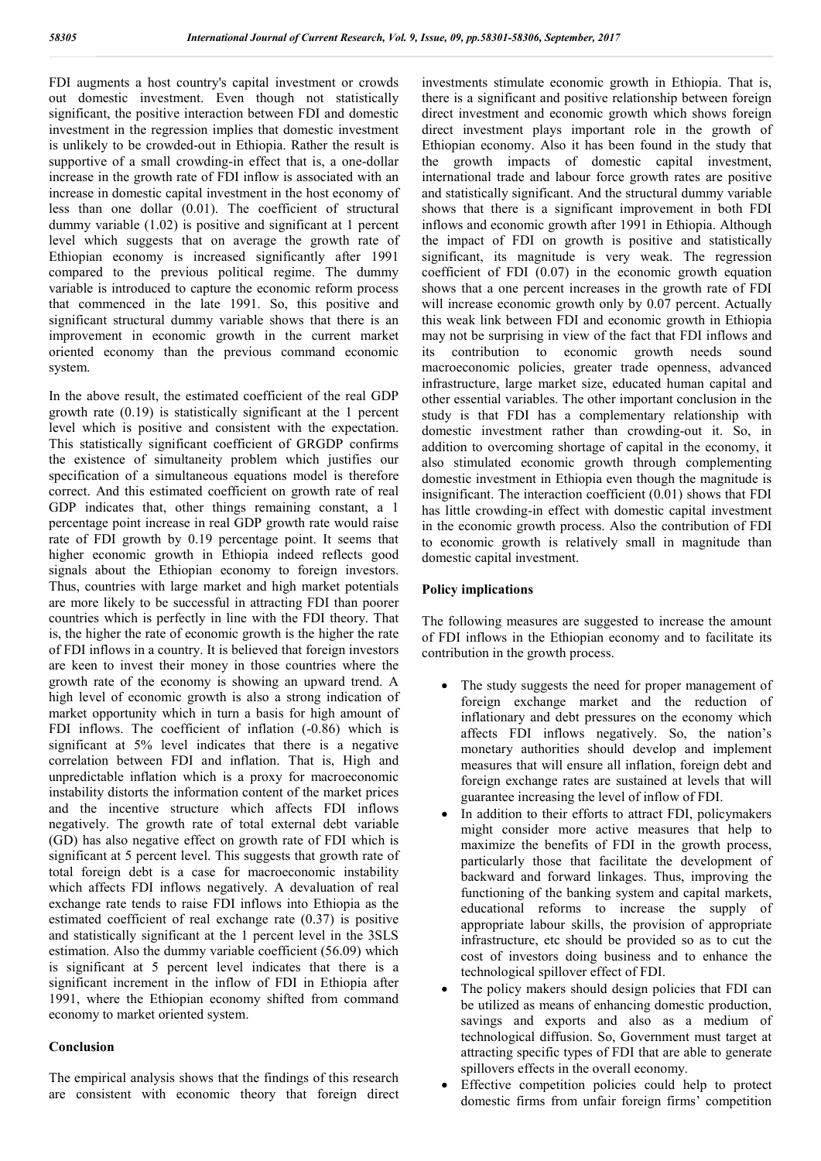FDI augments a host country's capital investment or crowds out domestic investment. Even though not statistically significant, the positive interaction between FDI and domestic investment in the regression implies that domestic investment is unlikely to be crowded-out in Ethiopia. Rather the result is supportive of a small crowding-in effect that is, a one-dollar increase in the growth rate of FDI inflow is associated with an increase in domestic capital investment in the host economy of less than one dollar (0.01). The coefficient of structural dummy variable (1.02) is positive and significant at 1 percent level which suggests that on average the growth rate of Ethiopian economy is increased significantly after 1991 compared to the previous political regime. The dummy variable is introduced to capture the economic reform process that commenced in the late 1991. So, this positive and significant structural dummy variable shows that there is an improvement in economic growth in the current market oriented economy than the previous command economic system.

In the above result, the estimated coefficient of the real GDP growth rate (0.19) is statistically significant at the 1 percent level which is positive and consistent with the expectation. This statistically significant coefficient of GRGDP confirms the existence of simultaneity problem which justifies our specification of a simultaneous equations model is therefore correct. And this estimated coefficient on growth rate of real GDP indicates that, other things remaining constant, a 1 percentage point increase in real GDP growth rate would raise rate of FDI growth by 0.19 percentage point. It seems that higher economic growth in Ethiopia indeed reflects good signals about the Ethiopian economy to foreign investors. Thus, countries with large market and high market potentials are more likely to be successful in attracting FDI than poorer countries which is perfectly in line with the FDI theory. That is, the higher the rate of economic growth is the higher the rate of FDI inflows in a country. It is believed that foreign investors are keen to invest their money in those countries where the growth rate of the economy is showing an upward trend. A high level of economic growth is also a strong indication of market opportunity which in turn a basis for high amount of FDI inflows. The coefficient of inflation (-0.86) which is significant at 5% level indicates that there is a negative correlation between FDI and inflation. That is, High and unpredictable inflation which is a proxy for macroeconomic instability distorts the information content of the market prices and the incentive structure which affects FDI inflows negatively. The growth rate of total external debt variable (GD) has also negative effect on growth rate of FDI which is significant at 5 percent level. This suggests that growth rate of total foreign debt is a case for macroeconomic instability which affects FDI inflows negatively. A devaluation of real exchange rate tends to raise FDI inflows into Ethiopia as the estimated coefficient of real exchange rate (0.37) is positive and statistically significant at the 1 percent level in the 3SLS estimation. Also the dummy variable coefficient (56.09) which is significant at 5 percent level indicates that there is a significant increment in the inflow of FDI in Ethiopia after 1991, where the Ethiopian economy shifted from command economy to market oriented system.

### **Conclusion**

The empirical analysis shows that the findings of this research are consistent with economic theory that foreign direct investments stimulate economic growth in Ethiopia. That is, there is a significant and positive relationship between foreign direct investment and economic growth which shows foreign direct investment plays important role in the growth of Ethiopian economy. Also it has been found in the study that the growth impacts of domestic capital investment, international trade and labour force growth rates are positive and statistically significant. And the structural dummy variable shows that there is a significant improvement in both FDI inflows and economic growth after 1991 in Ethiopia. Although the impact of FDI on growth is positive and statistically significant, its magnitude is very weak. The regression coefficient of FDI (0.07) in the economic growth equation shows that a one percent increases in the growth rate of FDI will increase economic growth only by 0.07 percent. Actually this weak link between FDI and economic growth in Ethiopia may not be surprising in view of the fact that FDI inflows and its contribution to economic growth needs sound macroeconomic policies, greater trade openness, advanced infrastructure, large market size, educated human capital and other essential variables. The other important conclusion in the study is that FDI has a complementary relationship with domestic investment rather than crowding-out it. So, in addition to overcoming shortage of capital in the economy, it also stimulated economic growth through complementing domestic investment in Ethiopia even though the magnitude is insignificant. The interaction coefficient (0.01) shows that FDI has little crowding-in effect with domestic capital investment in the economic growth process. Also the contribution of FDI to economic growth is relatively small in magnitude than domestic capital investment.

### **Policy implications**

The following measures are suggested to increase the amount of FDI inflows in the Ethiopian economy and to facilitate its contribution in the growth process.

- The study suggests the need for proper management of foreign exchange market and the reduction of inflationary and debt pressures on the economy which affects FDI inflows negatively. So, the nation's monetary authorities should develop and implement measures that will ensure all inflation, foreign debt and foreign exchange rates are sustained at levels that will guarantee increasing the level of inflow of FDI.
- In addition to their efforts to attract FDI, policymakers might consider more active measures that help to maximize the benefits of FDI in the growth process, particularly those that facilitate the development of backward and forward linkages. Thus, improving the functioning of the banking system and capital markets, educational reforms to increase the supply of appropriate labour skills, the provision of appropriate infrastructure, etc should be provided so as to cut the cost of investors doing business and to enhance the technological spillover effect of FDI.
- The policy makers should design policies that FDI can be utilized as means of enhancing domestic production, savings and exports and also as a medium of technological diffusion. So, Government must target at attracting specific types of FDI that are able to generate spillovers effects in the overall economy.
- Effective competition policies could help to protect domestic firms from unfair foreign firms' competition